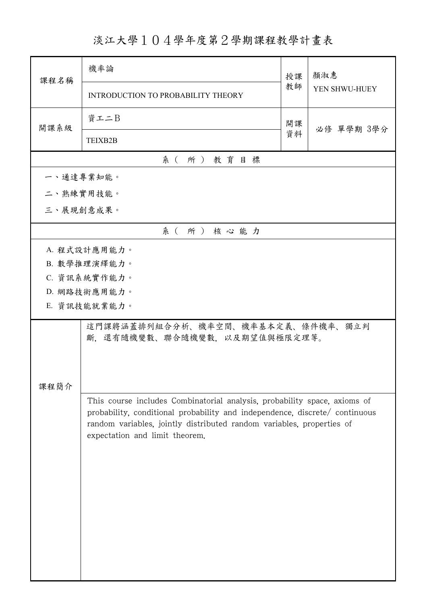淡江大學104學年度第2學期課程教學計畫表

| 課程名稱      | 機率論                                                                                                                                                                                                                                                                 | 授課 | 顏淑惠           |  |  |  |
|-----------|---------------------------------------------------------------------------------------------------------------------------------------------------------------------------------------------------------------------------------------------------------------------|----|---------------|--|--|--|
|           | INTRODUCTION TO PROBABILITY THEORY                                                                                                                                                                                                                                  | 教師 | YEN SHWU-HUEY |  |  |  |
| 開課系級      | 資工二B                                                                                                                                                                                                                                                                | 開課 | 必修 單學期 3學分    |  |  |  |
|           | TEIXB2B                                                                                                                                                                                                                                                             | 資料 |               |  |  |  |
|           | 系 (所) 教育目標                                                                                                                                                                                                                                                          |    |               |  |  |  |
| 一、通達專業知能。 |                                                                                                                                                                                                                                                                     |    |               |  |  |  |
| 二、熟練實用技能。 |                                                                                                                                                                                                                                                                     |    |               |  |  |  |
|           | 三、展現創意成果。                                                                                                                                                                                                                                                           |    |               |  |  |  |
|           | 系(所)核心能力                                                                                                                                                                                                                                                            |    |               |  |  |  |
|           | A. 程式設計應用能力。                                                                                                                                                                                                                                                        |    |               |  |  |  |
|           | B. 數學推理演繹能力。                                                                                                                                                                                                                                                        |    |               |  |  |  |
|           | C. 資訊系統實作能力。                                                                                                                                                                                                                                                        |    |               |  |  |  |
|           | D. 網路技術應用能力。                                                                                                                                                                                                                                                        |    |               |  |  |  |
|           | E. 資訊技能就業能力。                                                                                                                                                                                                                                                        |    |               |  |  |  |
| 課程簡介      | 這門課將涵蓋排列組合分析、機率空間、機率基本定義、條件機率、獨立判<br>斷,還有隨機變數、聯合隨機變數,以及期望值與極限定理等。                                                                                                                                                                                                   |    |               |  |  |  |
|           | This course includes Combinatorial analysis, probability space, axioms of<br>probability, conditional probability and independence, discrete/ continuous<br>random variables, jointly distributed random variables, properties of<br>expectation and limit theorem. |    |               |  |  |  |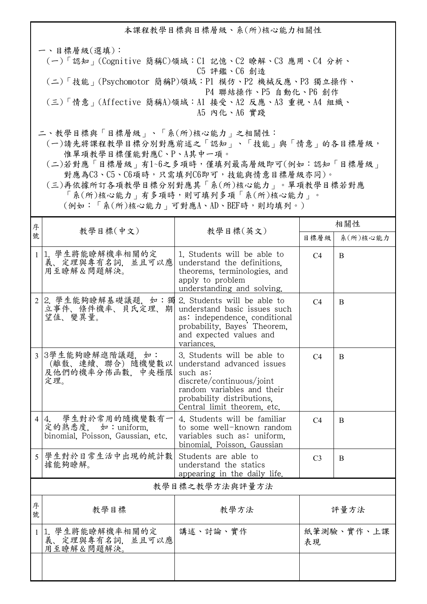本課程教學目標與目標層級、系(所)核心能力相關性 一、目標層級(選填): (一)「認知」(Cognitive 簡稱C)領域:C1 記憶、C2 瞭解、C3 應用、C4 分析、 C5 評鑑、C6 創造 (二)「技能」(Psychomotor 簡稱P)領域:P1 模仿、P2 機械反應、P3 獨立操作、 P4 聯結操作、P5 自動化、P6 創作 (三)「情意」(Affective 簡稱A)領域:A1 接受、A2 反應、A3 重視、A4 組織、 A5 內化、A6 實踐

二、教學目標與「目標層級」、「系(所)核心能力」之相關性:

 (一)請先將課程教學目標分別對應前述之「認知」、「技能」與「情意」的各目標層級, 惟單項教學目標僅能對應C、P、A其中一項。

 (二)若對應「目標層級」有1~6之多項時,僅填列最高層級即可(例如:認知「目標層級」 對應為C3、C5、C6項時,只需填列C6即可,技能與情意目標層級亦同)。

 (三)再依據所訂各項教學目標分別對應其「系(所)核心能力」。單項教學目標若對應 「系(所)核心能力」有多項時,則可填列多項「系(所)核心能力」。

(例如:「系(所)核心能力」可對應A、AD、BEF時,則均填列。)

| 序      | 教學目標(中文)                                                                            | 教學目標(英文)                                                                                                                                                                                      | 相關性              |              |  |  |
|--------|-------------------------------------------------------------------------------------|-----------------------------------------------------------------------------------------------------------------------------------------------------------------------------------------------|------------------|--------------|--|--|
| 號      |                                                                                     |                                                                                                                                                                                               | 目標層級             | 系(所)核心能力     |  |  |
|        | 1 1. 學生將能瞭解機率相關的定<br>義、定理與專有名詞,並且可以應<br>用至瞭解&問題解決。                                  | 1. Students will be able to<br>understand the definitions.<br>theorems, terminologies, and<br>apply to problem<br>understanding and solving.                                                  | C <sub>4</sub>   | <sub>B</sub> |  |  |
|        | 2 2. 學生能夠瞭解基礎議題,如:獨 2. Students will be able to<br>立事件、條件機率、貝氏定理、期<br>望值、變異量。       | understand basic issues such<br>as: independence, conditional<br>probability, Bayes' Theorem,<br>and expected values and<br>variances.                                                        | C <sub>4</sub>   | B            |  |  |
|        | 3 3學生能夠瞭解進階議題,如:<br>(離散、連續、聯合) 隨機變數以<br>及他們的機率分佈函數, 中央極限<br>定理。                     | 3. Students will be able to<br>understand advanced issues<br>such as:<br>discrete/continuous/joint<br>random variables and their<br>probability distributions.<br>Central limit theorem, etc. | C <sub>4</sub>   | B            |  |  |
|        | 學生對於常用的隨機變數有一<br>$4 4$ .<br>定的熟悉度, 如: uniform.<br>binomial, Poisson, Gaussian, etc. | 4. Students will be familiar<br>to some well-known random<br>variables such as: uniform.<br>binomial, Poisson, Gaussian                                                                       | C <sub>4</sub>   | B            |  |  |
|        | 5 學生對於日常生活中出現的統計數<br>據能夠瞭解。                                                         | Students are able to<br>understand the statics<br>appearing in the daily life.                                                                                                                | C <sub>3</sub>   | B            |  |  |
|        | 教學目標之教學方法與評量方法                                                                      |                                                                                                                                                                                               |                  |              |  |  |
| 序<br>號 | 教學目標                                                                                | 教學方法                                                                                                                                                                                          | 評量方法             |              |  |  |
|        | 1 1. 學生將能瞭解機率相關的定<br>義、定理與專有名詞,並且可以應<br>用至瞭解&問題解決。                                  | 講述、討論、實作                                                                                                                                                                                      | 紙筆測驗、實作、上課<br>表現 |              |  |  |
|        |                                                                                     |                                                                                                                                                                                               |                  |              |  |  |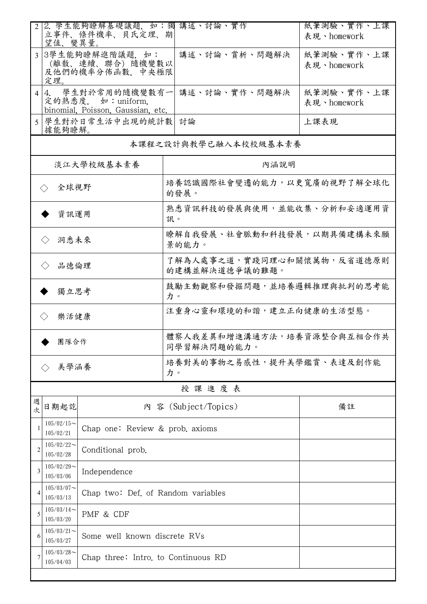| $\overline{2}$                                                                                   | 望值、變異量。                                                           | 2. 學生能夠瞭解基礎議題, 如:獨 講述、討論、實作<br>立事件、條件機率、貝氏定理、期 |                                              | 紙筆測驗、實作、上課<br>表現、homework |  |
|--------------------------------------------------------------------------------------------------|-------------------------------------------------------------------|------------------------------------------------|----------------------------------------------|---------------------------|--|
| 3學生能夠瞭解進階議題, 如:<br>(離散、連續、聯合) 隨機變數以<br>及他們的機率分佈函數, 中央極限<br>定理。                                   |                                                                   |                                                | 講述、討論、賞析、問題解決                                | 紙筆測驗、實作、上課<br>表現、homework |  |
| 學生對於常用的隨機變數有一<br>4.<br>$\overline{4}$<br>定的熟悉度, 如: uniform,<br>binomial, Poisson, Gaussian, etc. |                                                                   |                                                | 講述、討論、實作、問題解決                                | 紙筆測驗、實作、上課<br>表現、homework |  |
| 5                                                                                                | 據能夠瞭解。                                                            | 學生對於日常生活中出現的統計數                                | 討論                                           | 上課表現                      |  |
|                                                                                                  |                                                                   |                                                | 本課程之設計與教學已融入本校校級基本素養                         |                           |  |
|                                                                                                  |                                                                   | 淡江大學校級基本素養                                     | 內涵說明                                         |                           |  |
| 全球視野<br>$\langle \rangle$                                                                        |                                                                   |                                                | 培養認識國際社會變遷的能力,以更寬廣的視野了解全球化<br>的發展。           |                           |  |
| 資訊運用                                                                                             |                                                                   |                                                | 熟悉資訊科技的發展與使用,並能收集、分析和妥適運用資<br>訊。             |                           |  |
| 洞悉未來<br>$\langle \rangle$                                                                        |                                                                   |                                                | 瞭解自我發展、社會脈動和科技發展,以期具備建構未來願<br>景的能力。          |                           |  |
| 品德倫理<br>$\langle \ \rangle$                                                                      |                                                                   |                                                | 了解為人處事之道,實踐同理心和關懷萬物,反省道德原則<br>的建構並解決道德爭議的難題。 |                           |  |
| 獨立思考                                                                                             |                                                                   |                                                | 鼓勵主動觀察和發掘問題,並培養邏輯推理與批判的思考能<br>力。             |                           |  |
| 樂活健康<br>$\langle \ \rangle$                                                                      |                                                                   |                                                | 注重身心靈和環境的和諧,建立正向健康的生活型態。                     |                           |  |
| 團隊合作                                                                                             |                                                                   |                                                | 體察人我差異和增進溝通方法,培養資源整合與互相合作共<br>同學習解決問題的能力。    |                           |  |
| 美學涵養                                                                                             |                                                                   |                                                | 培養對美的事物之易感性,提升美學鑑賞、表達及創作能<br>力。              |                           |  |
|                                                                                                  |                                                                   |                                                | 授課進度表                                        |                           |  |
| 週<br>次                                                                                           | 日期起訖                                                              |                                                | 內 容 (Subject/Topics)                         | 備註                        |  |
|                                                                                                  | $105/02/15$ ~<br>105/02/21                                        | Chap one: Review & prob. axioms                |                                              |                           |  |
| 2                                                                                                | $105/02/22$ ~<br>Conditional prob.<br>105/02/28                   |                                                |                                              |                           |  |
| 3                                                                                                | $105/02/29$ ~<br>Independence<br>105/03/06                        |                                                |                                              |                           |  |
| 4                                                                                                | $105/03/07$ ~<br>105/03/13                                        | Chap two: Def. of Random variables             |                                              |                           |  |
| $105/03/14$ ~<br>PMF & CDF<br>5<br>105/03/20                                                     |                                                                   |                                                |                                              |                           |  |
| 6                                                                                                | $105/03/21$ ~<br>105/03/27                                        | Some well known discrete RVs                   |                                              |                           |  |
| 7                                                                                                | $105/03/28$ ~<br>Chap three: Intro. to Continuous RD<br>105/04/03 |                                                |                                              |                           |  |
|                                                                                                  |                                                                   |                                                |                                              |                           |  |